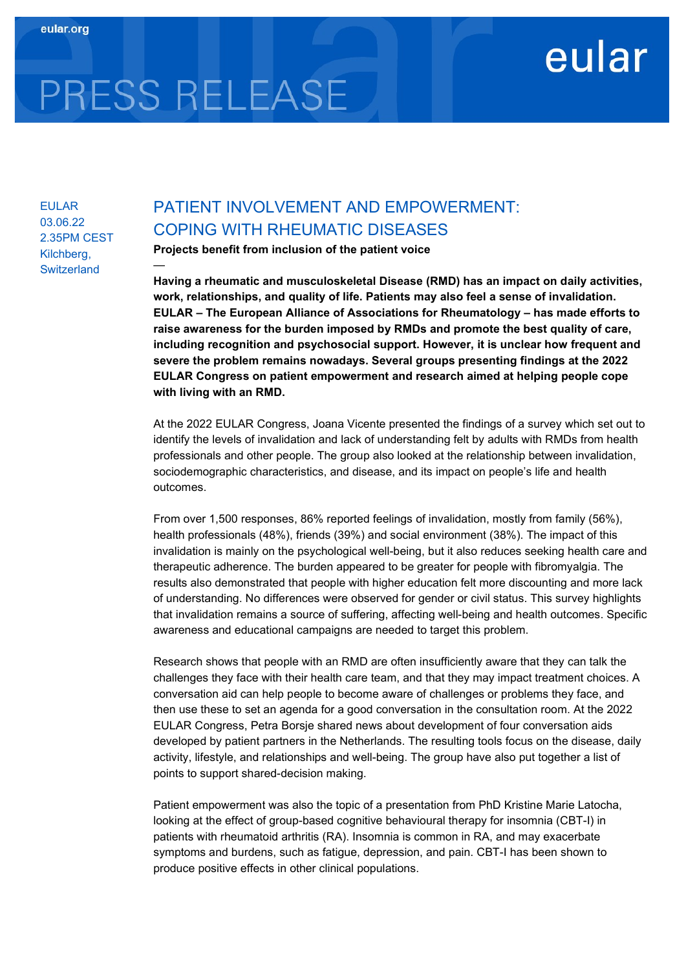# PRESS RELEASE

—

### EULAR 03.06.22 2.35PM CEST Kilchberg, **Switzerland**

## PATIENT INVOLVEMENT AND EMPOWERMENT: COPING WITH RHEUMATIC DISEASES

Projects benefit from inclusion of the patient voice

Having a rheumatic and musculoskeletal Disease (RMD) has an impact on daily activities, work, relationships, and quality of life. Patients may also feel a sense of invalidation. EULAR – The European Alliance of Associations for Rheumatology – has made efforts to raise awareness for the burden imposed by RMDs and promote the best quality of care, including recognition and psychosocial support. However, it is unclear how frequent and severe the problem remains nowadays. Several groups presenting findings at the 2022 EULAR Congress on patient empowerment and research aimed at helping people cope with living with an RMD.

eular

At the 2022 EULAR Congress, Joana Vicente presented the findings of a survey which set out to identify the levels of invalidation and lack of understanding felt by adults with RMDs from health professionals and other people. The group also looked at the relationship between invalidation, sociodemographic characteristics, and disease, and its impact on people's life and health outcomes.

From over 1,500 responses, 86% reported feelings of invalidation, mostly from family (56%), health professionals (48%), friends (39%) and social environment (38%). The impact of this invalidation is mainly on the psychological well-being, but it also reduces seeking health care and therapeutic adherence. The burden appeared to be greater for people with fibromyalgia. The results also demonstrated that people with higher education felt more discounting and more lack of understanding. No differences were observed for gender or civil status. This survey highlights that invalidation remains a source of suffering, affecting well-being and health outcomes. Specific awareness and educational campaigns are needed to target this problem.

Research shows that people with an RMD are often insufficiently aware that they can talk the challenges they face with their health care team, and that they may impact treatment choices. A conversation aid can help people to become aware of challenges or problems they face, and then use these to set an agenda for a good conversation in the consultation room. At the 2022 EULAR Congress, Petra Borsje shared news about development of four conversation aids developed by patient partners in the Netherlands. The resulting tools focus on the disease, daily activity, lifestyle, and relationships and well-being. The group have also put together a list of points to support shared-decision making.

Patient empowerment was also the topic of a presentation from PhD Kristine Marie Latocha, looking at the effect of group-based cognitive behavioural therapy for insomnia (CBT-I) in patients with rheumatoid arthritis (RA). Insomnia is common in RA, and may exacerbate symptoms and burdens, such as fatigue, depression, and pain. CBT-I has been shown to produce positive effects in other clinical populations.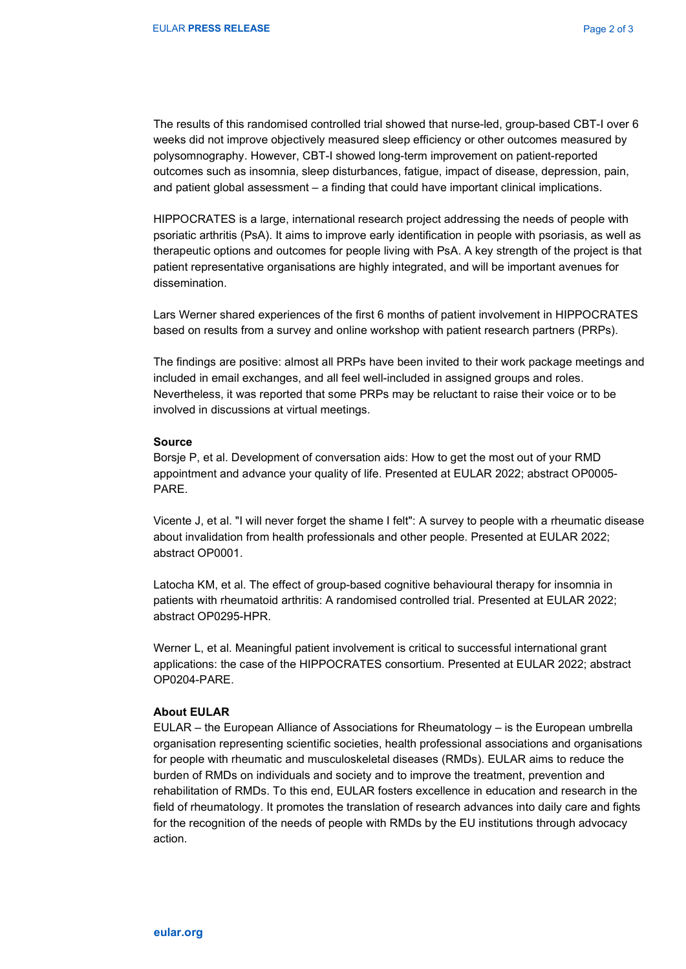HIPPOCRATES is a large, international research project addressing the needs of people with psoriatic arthritis (PsA). It aims to improve early identification in people with psoriasis, as well as therapeutic options and outcomes for people living with PsA. A key strength of the project is that patient representative organisations are highly integrated, and will be important avenues for dissemination.

Lars Werner shared experiences of the first 6 months of patient involvement in HIPPOCRATES based on results from a survey and online workshop with patient research partners (PRPs).

The findings are positive: almost all PRPs have been invited to their work package meetings and included in email exchanges, and all feel well-included in assigned groups and roles. Nevertheless, it was reported that some PRPs may be reluctant to raise their voice or to be involved in discussions at virtual meetings.

#### Source

Borsje P, et al. Development of conversation aids: How to get the most out of your RMD appointment and advance your quality of life. Presented at EULAR 2022; abstract OP0005- PARE.

Vicente J, et al. "I will never forget the shame I felt": A survey to people with a rheumatic disease about invalidation from health professionals and other people. Presented at EULAR 2022; abstract OP0001.

Latocha KM, et al. The effect of group-based cognitive behavioural therapy for insomnia in patients with rheumatoid arthritis: A randomised controlled trial. Presented at EULAR 2022; abstract OP0295-HPR.

Werner L, et al. Meaningful patient involvement is critical to successful international grant applications: the case of the HIPPOCRATES consortium. Presented at EULAR 2022; abstract OP0204-PARE.

#### About EULAR

EULAR – the European Alliance of Associations for Rheumatology – is the European umbrella organisation representing scientific societies, health professional associations and organisations for people with rheumatic and musculoskeletal diseases (RMDs). EULAR aims to reduce the burden of RMDs on individuals and society and to improve the treatment, prevention and rehabilitation of RMDs. To this end, EULAR fosters excellence in education and research in the field of rheumatology. It promotes the translation of research advances into daily care and fights for the recognition of the needs of people with RMDs by the EU institutions through advocacy action.